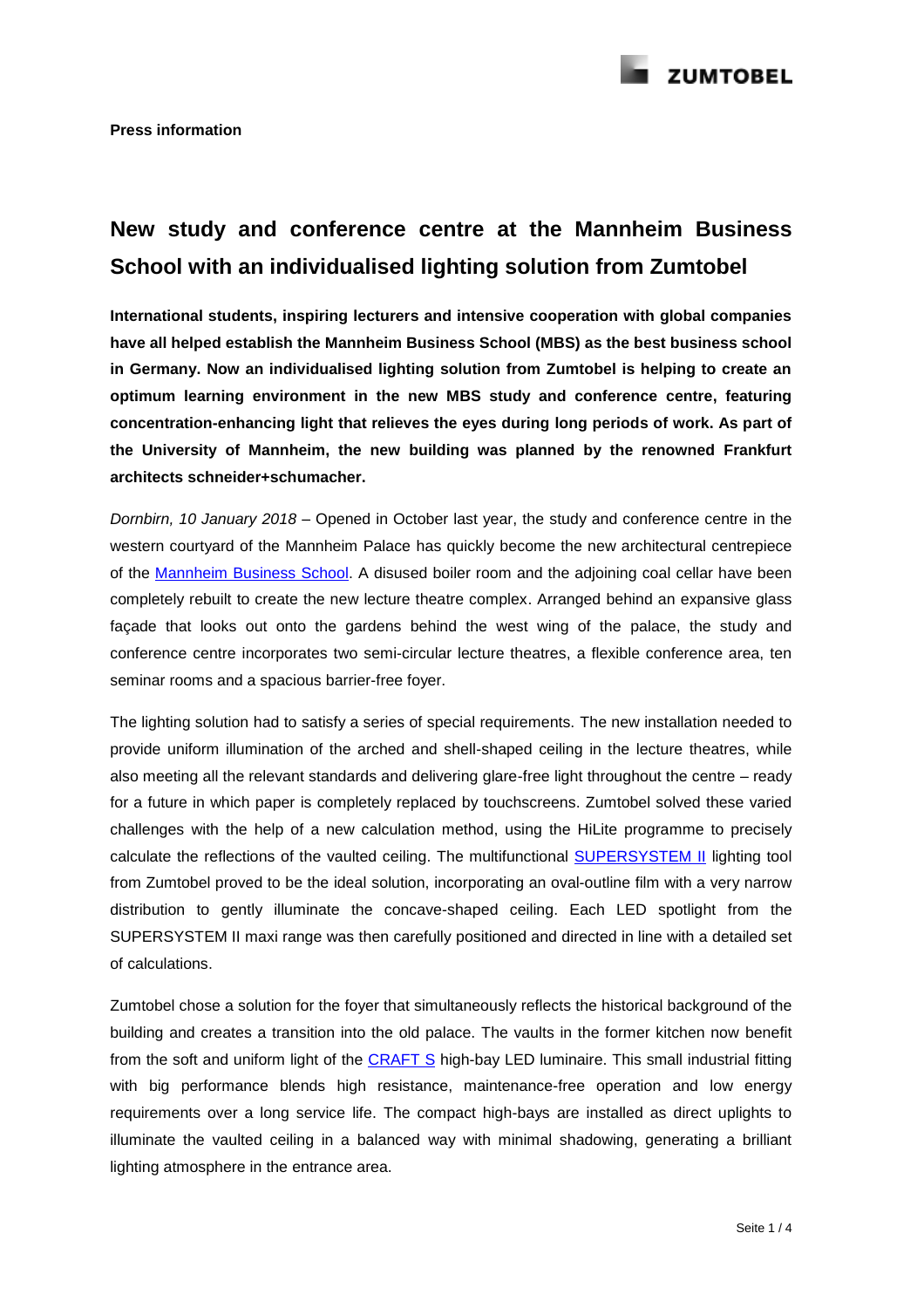

## **New study and conference centre at the Mannheim Business School with an individualised lighting solution from Zumtobel**

**International students, inspiring lecturers and intensive cooperation with global companies have all helped establish the Mannheim Business School (MBS) as the best business school in Germany. Now an individualised lighting solution from Zumtobel is helping to create an optimum learning environment in the new MBS study and conference centre, featuring concentration-enhancing light that relieves the eyes during long periods of work. As part of the University of Mannheim, the new building was planned by the renowned Frankfurt architects schneider+schumacher.**

*Dornbirn, 10 January 2018* – Opened in October last year, the study and conference centre in the western courtyard of the Mannheim Palace has quickly become the new architectural centrepiece of the Mannheim [Business School.](https://www.mannheim-business-school.com/en/) A disused boiler room and the adjoining coal cellar have been completely rebuilt to create the new lecture theatre complex. Arranged behind an expansive glass façade that looks out onto the gardens behind the west wing of the palace, the study and conference centre incorporates two semi-circular lecture theatres, a flexible conference area, ten seminar rooms and a spacious barrier-free foyer.

The lighting solution had to satisfy a series of special requirements. The new installation needed to provide uniform illumination of the arched and shell-shaped ceiling in the lecture theatres, while also meeting all the relevant standards and delivering glare-free light throughout the centre – ready for a future in which paper is completely replaced by touchscreens. Zumtobel solved these varied challenges with the help of a new calculation method, using the HiLite programme to precisely calculate the reflections of the vaulted ceiling. The multifunctional **SUPERSYSTEM II** lighting tool from Zumtobel proved to be the ideal solution, incorporating an oval-outline film with a very narrow distribution to gently illuminate the concave-shaped ceiling. Each LED spotlight from the SUPERSYSTEM II maxi range was then carefully positioned and directed in line with a detailed set of calculations.

Zumtobel chose a solution for the foyer that simultaneously reflects the historical background of the building and creates a transition into the old palace. The vaults in the former kitchen now benefit from the soft and uniform light of the [CRAFT S](http://www.zumtobel.com/com-en/products/craft.html) high-bay LED luminaire. This small industrial fitting with big performance blends high resistance, maintenance-free operation and low energy requirements over a long service life. The compact high-bays are installed as direct uplights to illuminate the vaulted ceiling in a balanced way with minimal shadowing, generating a brilliant lighting atmosphere in the entrance area.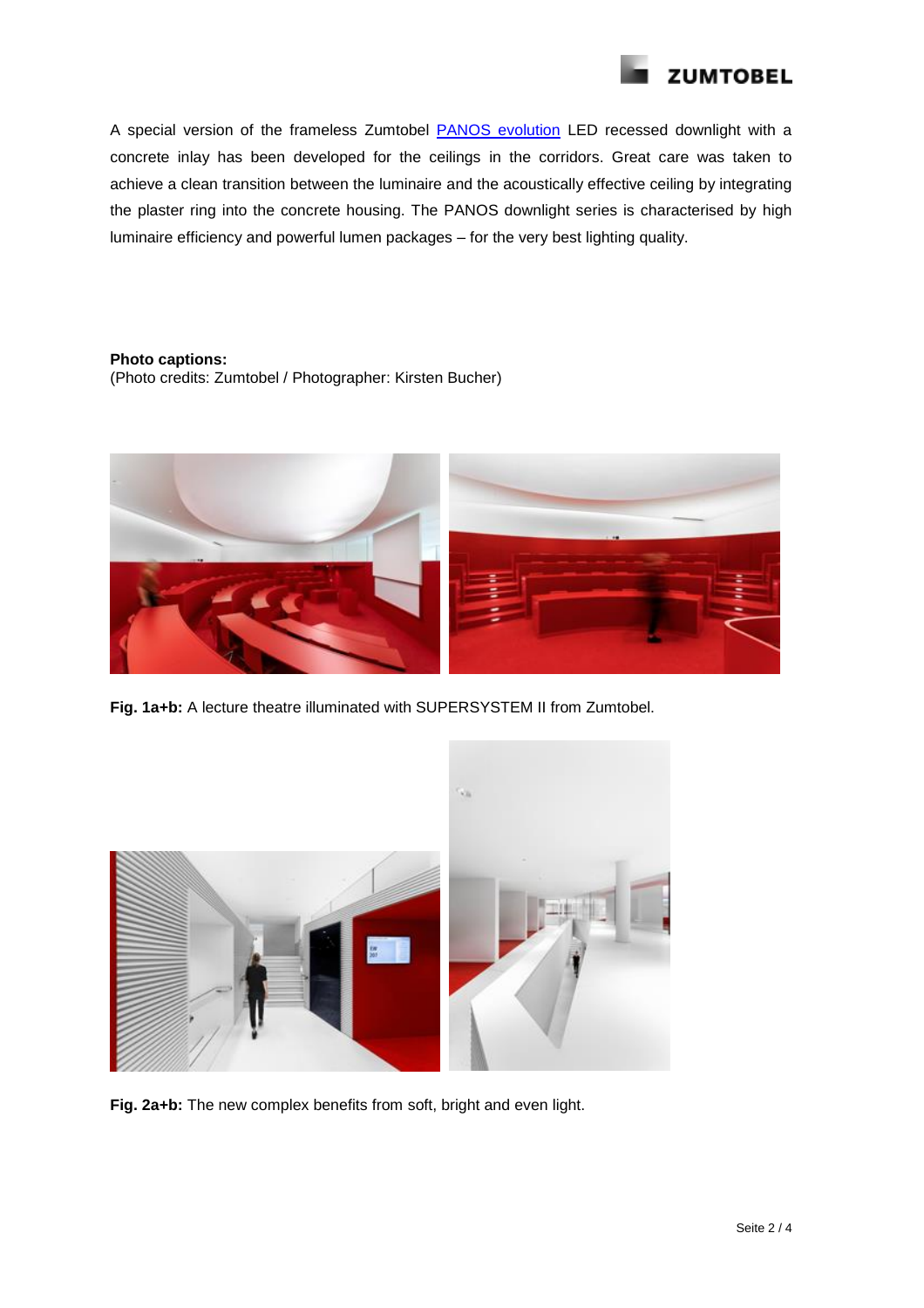

A special version of the frameless Zumtobel [PANOS evolution](http://www.zumtobel.com/com-en/products/panos_inf_evo_q.html) LED recessed downlight with a concrete inlay has been developed for the ceilings in the corridors. Great care was taken to achieve a clean transition between the luminaire and the acoustically effective ceiling by integrating the plaster ring into the concrete housing. The PANOS downlight series is characterised by high luminaire efficiency and powerful lumen packages – for the very best lighting quality.

## **Photo captions:**

(Photo credits: Zumtobel / Photographer: Kirsten Bucher)



**Fig. 1a+b:** A lecture theatre illuminated with SUPERSYSTEM II from Zumtobel.



**Fig. 2a+b:** The new complex benefits from soft, bright and even light.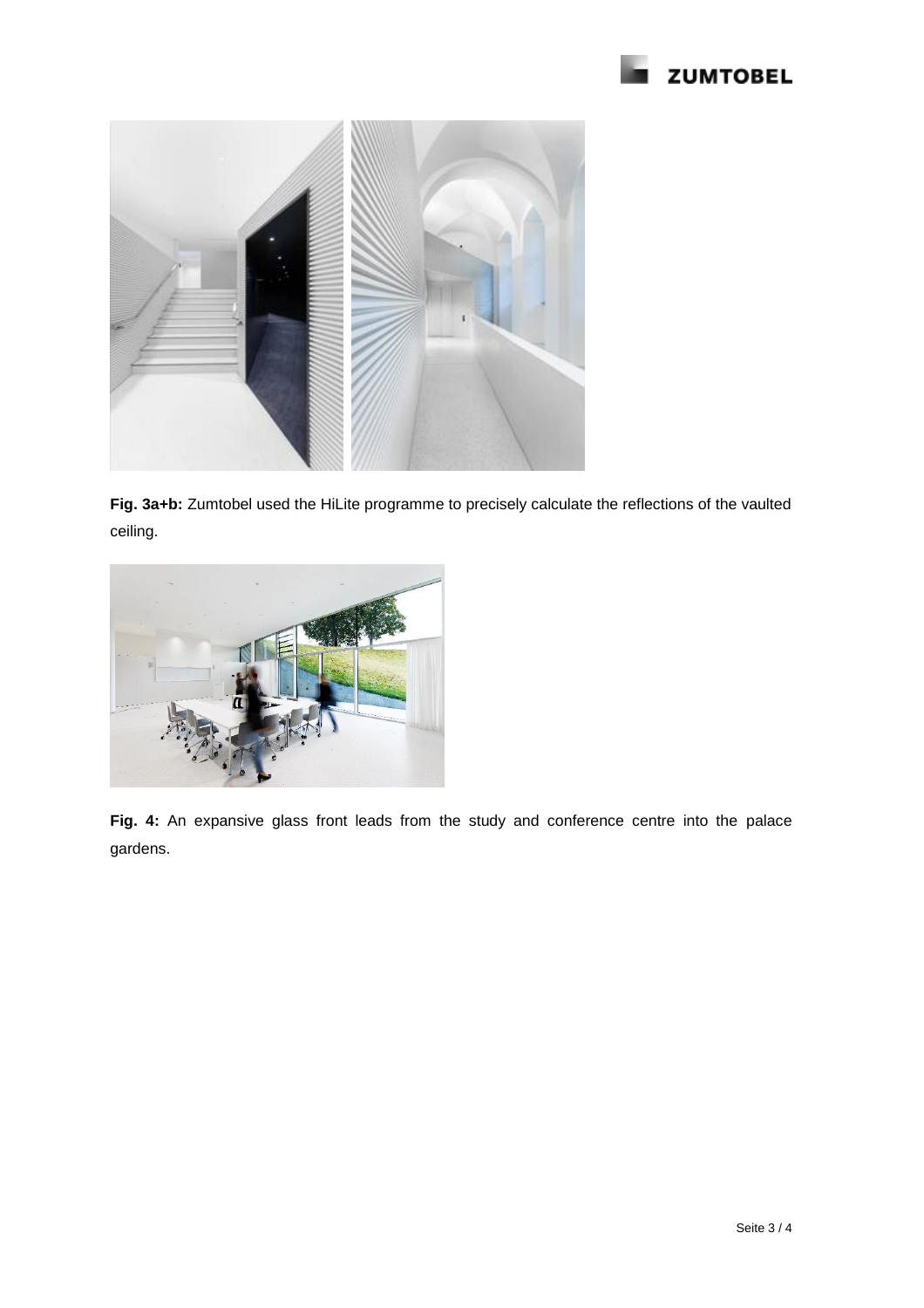



**Fig. 3a+b:** Zumtobel used the HiLite programme to precisely calculate the reflections of the vaulted ceiling.



**Fig. 4:** An expansive glass front leads from the study and conference centre into the palace gardens.